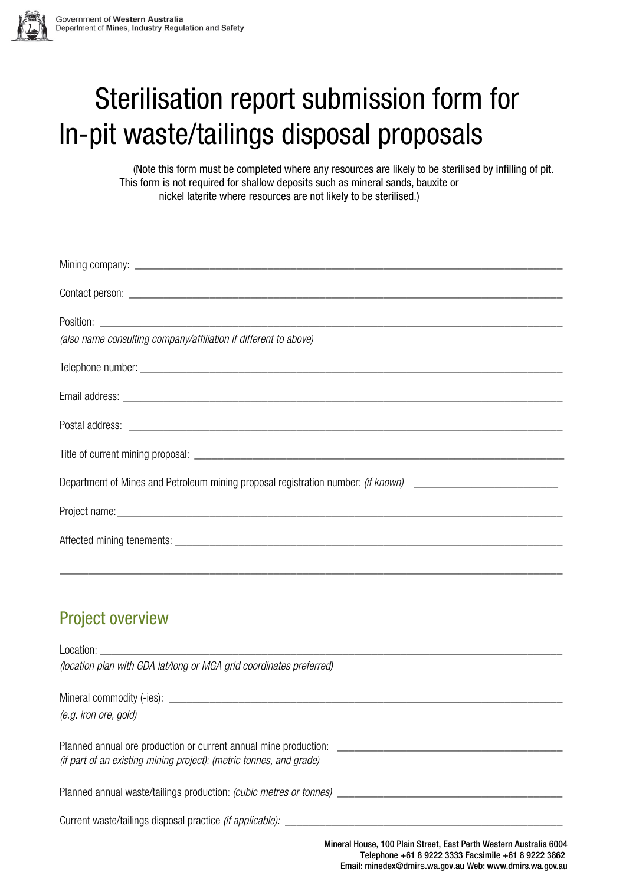

## nit waste/talling In-pit waste/tailings disposal proposals Sterilisation report submission form for

(Note this form must be completed where any resources are likely to be sterilised by infilling of pit. This form is not required for shallow deposits such as mineral sands, bauxite or nickel laterite where resources are not likely to be sterilised.)

| Position:                                                                                                     |
|---------------------------------------------------------------------------------------------------------------|
| (also name consulting company/affiliation if different to above)                                              |
|                                                                                                               |
|                                                                                                               |
|                                                                                                               |
|                                                                                                               |
| Department of Mines and Petroleum mining proposal registration number: (if known) ___________________________ |
|                                                                                                               |
|                                                                                                               |
|                                                                                                               |

## Project overview

| <b>Location:</b> the contract of the contract of the contract of the contract of the contract of the contract of the contract of the contract of the contract of the contract of the contract of the contract of the contract of th |                                                                                                                           |
|-------------------------------------------------------------------------------------------------------------------------------------------------------------------------------------------------------------------------------------|---------------------------------------------------------------------------------------------------------------------------|
| (location plan with GDA lat/long or MGA grid coordinates preferred)                                                                                                                                                                 |                                                                                                                           |
|                                                                                                                                                                                                                                     |                                                                                                                           |
| (e.g. iron ore, gold)                                                                                                                                                                                                               |                                                                                                                           |
| Planned annual ore production or current annual mine production:<br>(if part of an existing mining project): (metric tonnes, and grade)                                                                                             |                                                                                                                           |
| Planned annual waste/tailings production: (cubic metres or tonnes) ______________                                                                                                                                                   |                                                                                                                           |
| Current waste/tailings disposal practice <i>(if applicable):</i>                                                                                                                                                                    |                                                                                                                           |
|                                                                                                                                                                                                                                     | Mineral House, 100 Plain Street, East Perth Western Australia 6004<br>Telenhone +61 8 0222 3333 Eacsimile +61 8 0222 3862 |

Telephone +61 8 9222 3333 Facsimile +61 8 9222 3862 Email: [minedex@dmi](mailto:minedex@dmp.wa.gov.au)rs.wa.gov.au Web: www.dmirs.wa.gov.au